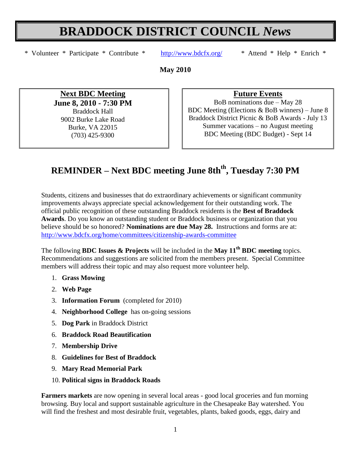# **BRADDOCK DISTRICT COUNCIL** *News*

\* Volunteer \* Participate \* Contribute \* <http://www.bdcfx.org/>\* Attend \* Help \* Enrich \*

**May 2010**

**Next BDC Meeting June 8, 2010 - 7:30 PM** Braddock Hall 9002 Burke Lake Road Burke, VA 22015 (703) 425-9300

**Future Events**

BoB nominations due – May 28 BDC Meeting (Elections & BoB winners) – June 8 Braddock District Picnic & BoB Awards - July 13 Summer vacations – no August meeting BDC Meeting (BDC Budget) - Sept 14

# **REMINDER – Next BDC meeting June 8thth , Tuesday 7:30 PM**

Students, citizens and businesses that do extraordinary achievements or significant community improvements always appreciate special acknowledgement for their outstanding work. The official public recognition of these outstanding Braddock residents is the **Best of Braddock Awards**. Do you know an outstanding student or Braddock business or organization that you believe should be so honored? **Nominations are due May 28.** Instructions and forms are at: <http://www.bdcfx.org/home/committees/citizenship-awards-committee>

The following **BDC Issues & Projects** will be included in the **May 11th BDC meeting** topics. Recommendations and suggestions are solicited from the members present. Special Committee members will address their topic and may also request more volunteer help.

- 1. **Grass Mowing**
- 2. **Web Page**
- 3. **Information Forum** (completed for 2010)
- 4. **Neighborhood College** has on-going sessions
- 5. **Dog Park** in Braddock District
- 6. **Braddock Road Beautification**
- 7. **Membership Drive**
- 8. **Guidelines for Best of Braddock**
- 9. **Mary Read Memorial Park**
- 10. **Political signs in Braddock Roads**

**Farmers markets** are now opening in several local areas - good local groceries and fun morning browsing. Buy local and support sustainable agriculture in the Chesapeake Bay watershed. You will find the freshest and most desirable fruit, vegetables, plants, baked goods, eggs, dairy and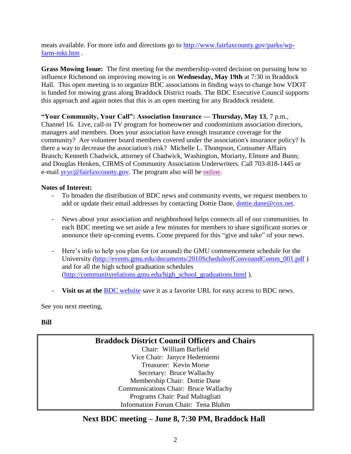meats available. For more info and directions go to [http://www.fairfaxcounty.gov/parks/wp](http://www.fairfaxcounty.gov/parks/wp-farm-mkt.htm)[farm-mkt.htm](http://www.fairfaxcounty.gov/parks/wp-farm-mkt.htm) .

**Grass Mowing Issue:** The first meeting for the membership-voted decision on pursuing how to influence Richmond on improving mowing is on **Wednesday, May 19th** at 7:30 in Braddock Hall. This open meeting is to organize BDC associations in finding ways to change how VDOT is funded for mowing grass along Braddock District roads. The BDC Executive Council supports this approach and again notes that this is an open meeting for any Braddock resident.

**―Your Community, Your Call‖: Association Insurance — Thursday, May 13**, 7 p.m., Channel 16. Live, call-in TV program for homeowner and condominium association directors, managers and members. Does your association have enough insurance coverage for the community? Are volunteer board members covered under the association's insurance policy? Is there a way to decrease the association's risk? Michelle L. Thompson, Consumer Affairs Branch; Kenneth Chadwick, attorney of Chadwick, Washington, Moriarty, Elmore and Bunn; and Douglas Henken, CIRMS of Community Association Underwriters. Call 703-818-1445 or e-mail [ycyc@fairfaxcounty.gov.](mailto:ycyc@fairfaxcounty.gov) The program also will be [online.](http://www.fairfaxcounty.gov/cable/channel16/vod.htm)

#### **Notes of Interest:**

- To broaden the distribution of BDC news and community events, we request members to add or update their email addresses by contacting Dottie Dane, [dottie.dane@cox.net.](mailto:dottie.dane@cox.net)
- News about your association and neighborhood helps connects all of our communities. In each BDC meeting we set aside a few minutes for members to share significant stories or announce their up-coming events. Come prepared for this "give and take" of your news.
- Here's info to help you plan for (or around) the GMU commencement schedule for the University [\(http://events.gmu.edu/documents/2010ScheduleofConvoandComm\\_001.pdf](http://events.gmu.edu/documents/2010ScheduleofConvoandComm_001.pdf)) and for all the high school graduation schedules [\(http://communityrelations.gmu.edu/high\\_school\\_graduations.html](http://communityrelations.gmu.edu/high_school_graduations.html) ).
- **Visit us at the** [BDC website](http://www.bdcfx.org/home/meeting-minutes) save it as a favorite URL for easy access to BDC news.

See you next meeting,

### **Bill**

### **Braddock District Council Officers and Chairs** Chair: William Barfield Vice Chair: Janyce Hedetniemi Treasurer: Kevin Morse Secretary: Bruce Wallachy Membership Chair: Dottie Dane Communications Chair: Bruce Wallachy Programs Chair: Paul Maltagliati

# Information Forum Chair: Tena Bluhm

### **Next BDC meeting – June 8, 7:30 PM, Braddock Hall**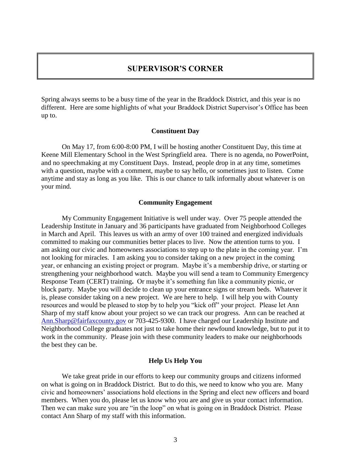### **SUPERVISOR'S CORNER**

Spring always seems to be a busy time of the year in the Braddock District, and this year is no different. Here are some highlights of what your Braddock District Supervisor's Office has been up to.

#### **Constituent Day**

On May 17, from 6:00-8:00 PM, I will be hosting another Constituent Day, this time at Keene Mill Elementary School in the West Springfield area. There is no agenda, no PowerPoint, and no speechmaking at my Constituent Days. Instead, people drop in at any time, sometimes with a question, maybe with a comment, maybe to say hello, or sometimes just to listen. Come anytime and stay as long as you like. This is our chance to talk informally about whatever is on your mind.

#### **Community Engagement**

My Community Engagement Initiative is well under way. Over 75 people attended the Leadership Institute in January and 36 participants have graduated from Neighborhood Colleges in March and April. This leaves us with an army of over 100 trained and energized individuals committed to making our communities better places to live. Now the attention turns to you. I am asking our civic and homeowners associations to step up to the plate in the coming year. I'm not looking for miracles. I am asking you to consider taking on a new project in the coming year, or enhancing an existing project or program. Maybe it's a membership drive, or starting or strengthening your neighborhood watch. Maybe you will send a team to Community Emergency Response Team (CERT) training**.** Or maybe it's something fun like a community picnic, or block party. Maybe you will decide to clean up your entrance signs or stream beds. Whatever it is, please consider taking on a new project. We are here to help. I will help you with County resources and would be pleased to stop by to help you "kick off" your project. Please let Ann Sharp of my staff know about your project so we can track our progress. Ann can be reached at [Ann.Sharp@fairfaxcounty.gov](mailto:Ann.Sharp@fairfaxcounty.gov) or 703-425-9300. I have charged our Leadership Institute and Neighborhood College graduates not just to take home their newfound knowledge, but to put it to work in the community. Please join with these community leaders to make our neighborhoods the best they can be.

#### **Help Us Help You**

We take great pride in our efforts to keep our community groups and citizens informed on what is going on in Braddock District. But to do this, we need to know who you are. Many civic and homeowners' associations hold elections in the Spring and elect new officers and board members. When you do, please let us know who you are and give us your contact information. Then we can make sure you are "in the loop" on what is going on in Braddock District. Please contact Ann Sharp of my staff with this information.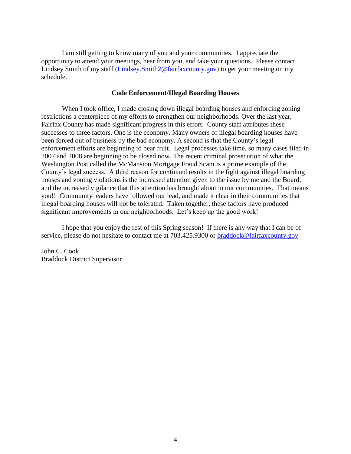I am still getting to know many of you and your communities. I appreciate the opportunity to attend your meetings, hear from you, and take your questions. Please contact Lindsey Smith of my staff [\(Lindsey.Smith2@fairfaxcounty.gov\)](mailto:Lindsey.Smith2@fairfaxcounty.gov) to get your meeting on my schedule.

#### **Code Enforcement/Illegal Boarding Houses**

When I took office, I made closing down illegal boarding houses and enforcing zoning restrictions a centerpiece of my efforts to strengthen our neighborhoods. Over the last year, Fairfax County has made significant progress in this effort. County staff attributes these successes to three factors. One is the economy. Many owners of illegal boarding houses have been forced out of business by the bad economy. A second is that the County's legal enforcement efforts are beginning to bear fruit. Legal processes take time, so many cases filed in 2007 and 2008 are beginning to be closed now. The recent criminal prosecution of what the Washington Post called the McMansion Mortgage Fraud Scam is a prime example of the County's legal success. A third reason for continued results in the fight against illegal boarding houses and zoning violations is the increased attention given to the issue by me and the Board, and the increased vigilance that this attention has brought about in our communities. That means you!! Community leaders have followed our lead, and made it clear in their communities that illegal boarding houses will not be tolerated. Taken together, these factors have produced significant improvements in our neighborhoods. Let's keep up the good work!

I hope that you enjoy the rest of this Spring season! If there is any way that I can be of service, please do not hesitate to contact me at 703.425.9300 or [braddock@fairfaxcounty.gov](mailto:braddock@fairfaxcounty.gov)

John C. Cook Braddock District Supervisor